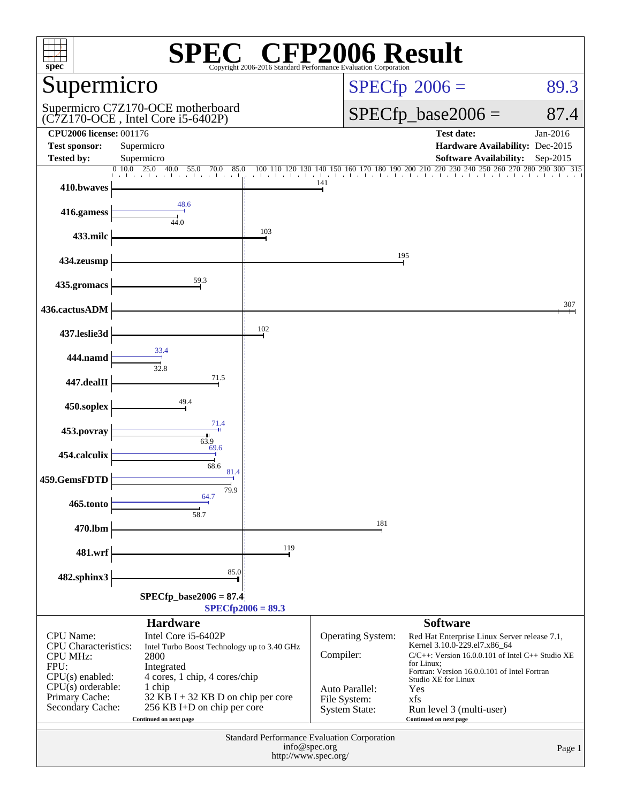| <b>CFP2006 Result</b><br>spec <sup>®</sup><br>Copyright 2006-2016 Standard Performance E |                                                                                                                                        |                      |                                                        |                                                                                                                                                |                                             |  |  |
|------------------------------------------------------------------------------------------|----------------------------------------------------------------------------------------------------------------------------------------|----------------------|--------------------------------------------------------|------------------------------------------------------------------------------------------------------------------------------------------------|---------------------------------------------|--|--|
| Supermicro                                                                               |                                                                                                                                        |                      | $SPECfp^{\circ}2006 =$<br>89.3                         |                                                                                                                                                |                                             |  |  |
| Supermicro C7Z170-OCE motherboard<br>(C7Z170-OCE, Intel Core i5-6402P)                   |                                                                                                                                        |                      |                                                        | $SPECfp\_base2006 =$<br>87.4                                                                                                                   |                                             |  |  |
| <b>CPU2006 license: 001176</b><br><b>Test sponsor:</b>                                   | Supermicro                                                                                                                             |                      |                                                        | <b>Test date:</b><br>Hardware Availability: Dec-2015                                                                                           | Jan-2016                                    |  |  |
| Tested by:                                                                               | Supermicro<br>0.10.0<br>$\overline{25.0}$<br>40.0<br>55.0<br>85.0<br>70.0                                                              | 100<br>120<br>130    | 160 170 180 190 200 210<br>140<br>150                  | <b>Software Availability:</b><br>$220\;230$                                                                                                    | Sep-2015<br>240 250 260 270 280 290 300 315 |  |  |
| 410.bwaves                                                                               |                                                                                                                                        | the first collection | 141                                                    |                                                                                                                                                |                                             |  |  |
| 416.gamess                                                                               | 48.6<br>44.0                                                                                                                           |                      |                                                        |                                                                                                                                                |                                             |  |  |
| 433.milc                                                                                 |                                                                                                                                        | 103                  |                                                        |                                                                                                                                                |                                             |  |  |
| 434.zeusmp                                                                               |                                                                                                                                        |                      |                                                        | 195                                                                                                                                            |                                             |  |  |
| 435.gromacs                                                                              | 59.3                                                                                                                                   |                      |                                                        |                                                                                                                                                |                                             |  |  |
| 436.cactusADM                                                                            |                                                                                                                                        |                      |                                                        |                                                                                                                                                | 307                                         |  |  |
| 437.leslie3d                                                                             |                                                                                                                                        | 102                  |                                                        |                                                                                                                                                |                                             |  |  |
| 444.namd                                                                                 | 33.4<br>32.8                                                                                                                           |                      |                                                        |                                                                                                                                                |                                             |  |  |
| 447.dealII                                                                               | 71.5                                                                                                                                   |                      |                                                        |                                                                                                                                                |                                             |  |  |
| 450.soplex                                                                               | 49.4                                                                                                                                   |                      |                                                        |                                                                                                                                                |                                             |  |  |
| 453.povray                                                                               | 71.4<br>63.9                                                                                                                           |                      |                                                        |                                                                                                                                                |                                             |  |  |
| 454.calculix                                                                             | 69.6<br>68.6                                                                                                                           |                      |                                                        |                                                                                                                                                |                                             |  |  |
| 459.GemsFDTD                                                                             | 81.4<br>79.9                                                                                                                           |                      |                                                        |                                                                                                                                                |                                             |  |  |
| 465.tonto                                                                                | 64.7<br>58.7                                                                                                                           |                      |                                                        |                                                                                                                                                |                                             |  |  |
| 470.lbm                                                                                  |                                                                                                                                        |                      | 181                                                    |                                                                                                                                                |                                             |  |  |
| 481.wrf                                                                                  |                                                                                                                                        | 119                  |                                                        |                                                                                                                                                |                                             |  |  |
| 482.sphinx3                                                                              | 85.0                                                                                                                                   |                      |                                                        |                                                                                                                                                |                                             |  |  |
| $SPECfp\_base2006 = 87.4$<br>$SPECfp2006 = 89.3$                                         |                                                                                                                                        |                      |                                                        |                                                                                                                                                |                                             |  |  |
|                                                                                          | <b>Hardware</b>                                                                                                                        |                      |                                                        | <b>Software</b>                                                                                                                                |                                             |  |  |
| CPU Name:<br><b>CPU</b> Characteristics:<br><b>CPU MHz:</b><br>FPU:                      | Intel Core i5-6402P<br>Intel Turbo Boost Technology up to 3.40 GHz<br>2800<br>Integrated                                               |                      | <b>Operating System:</b><br>Compiler:                  | Red Hat Enterprise Linux Server release 7.1,<br>Kernel 3.10.0-229.el7.x86_64<br>C/C++: Version 16.0.0.101 of Intel C++ Studio XE<br>for Linux: |                                             |  |  |
| $CPU(s)$ enabled:<br>$CPU(s)$ orderable:<br>Primary Cache:<br>Secondary Cache:           | 4 cores, 1 chip, 4 cores/chip<br>1 chip<br>32 KB I + 32 KB D on chip per core<br>256 KB I+D on chip per core<br>Continued on next page |                      | Auto Parallel:<br>File System:<br><b>System State:</b> | Fortran: Version 16.0.0.101 of Intel Fortran<br>Studio XE for Linux<br>Yes<br>xfs<br>Run level 3 (multi-user)<br>Continued on next page        |                                             |  |  |
| Standard Performance Evaluation Corporation<br>info@spec.org<br>http://www.spec.org/     |                                                                                                                                        |                      |                                                        |                                                                                                                                                |                                             |  |  |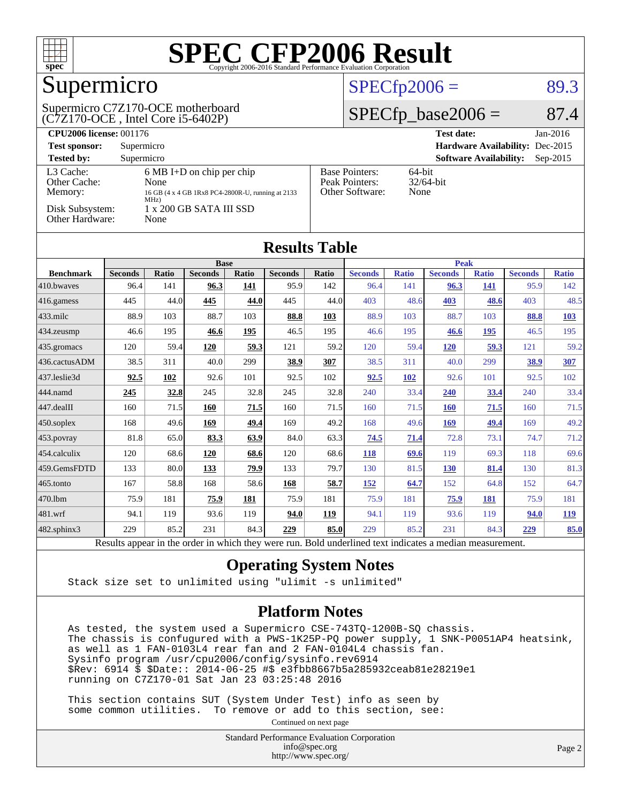

## Supermicro

#### (C7Z170-OCE , Intel Core i5-6402P) Supermicro C7Z170-OCE motherboard

#### $SPECTp2006 = 89.3$

#### $SPECfp\_base2006 = 87.4$

| <b>CPU2006 license: 001176</b>       |                                                                                                          |                                                            | <b>Test date:</b><br>$Jan-2016$             |  |  |  |
|--------------------------------------|----------------------------------------------------------------------------------------------------------|------------------------------------------------------------|---------------------------------------------|--|--|--|
| <b>Test sponsor:</b>                 | Supermicro                                                                                               | Hardware Availability: Dec-2015                            |                                             |  |  |  |
| <b>Tested by:</b>                    | Supermicro                                                                                               |                                                            | <b>Software Availability:</b><br>$Sep-2015$ |  |  |  |
| L3 Cache:<br>Other Cache:<br>Memory: | $6 \text{ MB I+D}$ on chip per chip<br>None<br>16 GB (4 x 4 GB 1Rx8 PC4-2800R-U, running at 2133<br>MHz) | <b>Base Pointers:</b><br>Peak Pointers:<br>Other Software: | $64$ -bit<br>$32/64$ -bit<br>None           |  |  |  |
| Disk Subsystem:<br>Other Hardware:   | 1 x 200 GB SATA III SSD<br>None                                                                          |                                                            |                                             |  |  |  |

| <b>Results Table</b>   |                |                 |                |             |                |               |                |              |                |              |                |              |
|------------------------|----------------|-----------------|----------------|-------------|----------------|---------------|----------------|--------------|----------------|--------------|----------------|--------------|
|                        | <b>Base</b>    |                 |                |             |                | <b>Peak</b>   |                |              |                |              |                |              |
| <b>Benchmark</b>       | <b>Seconds</b> | <b>Ratio</b>    | <b>Seconds</b> | Ratio       | <b>Seconds</b> | Ratio         | <b>Seconds</b> | <b>Ratio</b> | <b>Seconds</b> | <b>Ratio</b> | <b>Seconds</b> | <b>Ratio</b> |
| $ 410$ .bwayes         | 96.4           | 141             | 96.3           | 141         | 95.9           | 142           | 96.4           | 141          | 96.3           | 141          | 95.9           | 142          |
| $ 416$ .gamess         | 445            | 44.0            | 445            | 44.0        | 445            | 44.0          | 403            | 48.6         | 403            | 48.6         | 403            | 48.5         |
| $433$ .milc            | 88.9           | 103             | 88.7           | 103         | 88.8           | 103           | 88.9           | 103          | 88.7           | 103          | 88.8           | <b>103</b>   |
| $ 434$ . zeusmp        | 46.6           | 195             | 46.6           | 195         | 46.5           | 195           | 46.6           | 195          | 46.6           | 195          | 46.5           | 195          |
| $435$ .gromacs         | 120            | 59.4            | 120            | 59.3        | 121            | 59.2          | 120            | 59.4         | <b>120</b>     | 59.3         | 121            | 59.2         |
| 436.cactusADM          | 38.5           | 311             | 40.0           | 299         | 38.9           | 307           | 38.5           | 311          | 40.0           | 299          | 38.9           | <b>307</b>   |
| 437.leslie3d           | 92.5           | 102             | 92.6           | 101         | 92.5           | 102           | 92.5           | 102          | 92.6           | 101          | 92.5           | 102          |
| 444.namd               | 245            | 32.8            | 245            | 32.8        | 245            | 32.8          | 240            | 33.4         | 240            | 33.4         | 240            | 33.4         |
| $ 447 \text{.}$ dealII | 160            | 71.5            | 160            | 71.5        | 160            | 71.5          | 160            | 71.5         | <b>160</b>     | 71.5         | 160            | 71.5         |
| $450$ .soplex          | 168            | 49.6            | 169            | 49.4        | 169            | 49.2          | 168            | 49.6         | 169            | 49.4         | 169            | 49.2         |
| $ 453$ . povray        | 81.8           | 65.0            | 83.3           | 63.9        | 84.0           | 63.3          | 74.5           | 71.4         | 72.8           | 73.1         | 74.7           | 71.2         |
| $ 454$ .calculix       | 120            | 68.6            | 120            | 68.6        | 120            | 68.6          | 118            | 69.6         | 119            | 69.3         | 118            | 69.6         |
| 459.GemsFDTD           | 133            | 80.0            | 133            | <u>79.9</u> | 133            | 79.7          | 130            | 81.5         | <b>130</b>     | 81.4         | 130            | 81.3         |
| 465.tonto              | 167            | 58.8            | 168            | 58.6        | 168            | 58.7          | <b>152</b>     | 64.7         | 152            | 64.8         | 152            | 64.7         |
| 470.1bm                | 75.9           | 181             | 75.9           | 181         | 75.9           | 181           | 75.9           | 181          | 75.9           | 181          | 75.9           | 181          |
| $ 481$ .wrf            | 94.1           | 119             | 93.6           | 119         | 94.0           | 119           | 94.1           | 119          | 93.6           | 119          | 94.0           | <b>119</b>   |
| 482.sphinx3            | 229            | 85.2            | 231            | 84.3        | 229            | 85.0          | 229            | 85.2         | 231            | 84.3         | <u>229</u>     | 85.0         |
|                        |                | $\cdot$ $\cdot$ |                | $\cdots$    |                | $\sim$ $\sim$ |                |              |                |              |                |              |

Results appear in the [order in which they were run.](http://www.spec.org/auto/cpu2006/Docs/result-fields.html#RunOrder) Bold underlined text [indicates a median measurement.](http://www.spec.org/auto/cpu2006/Docs/result-fields.html#Median)

#### **[Operating System Notes](http://www.spec.org/auto/cpu2006/Docs/result-fields.html#OperatingSystemNotes)**

Stack size set to unlimited using "ulimit -s unlimited"

#### **[Platform Notes](http://www.spec.org/auto/cpu2006/Docs/result-fields.html#PlatformNotes)**

 As tested, the system used a Supermicro CSE-743TQ-1200B-SQ chassis. The chassis is confugured with a PWS-1K25P-PQ power supply, 1 SNK-P0051AP4 heatsink, as well as 1 FAN-0103L4 rear fan and 2 FAN-0104L4 chassis fan. Sysinfo program /usr/cpu2006/config/sysinfo.rev6914 \$Rev: 6914 \$ \$Date:: 2014-06-25 #\$ e3fbb8667b5a285932ceab81e28219e1 running on C7Z170-01 Sat Jan 23 03:25:48 2016

 This section contains SUT (System Under Test) info as seen by some common utilities. To remove or add to this section, see:

Continued on next page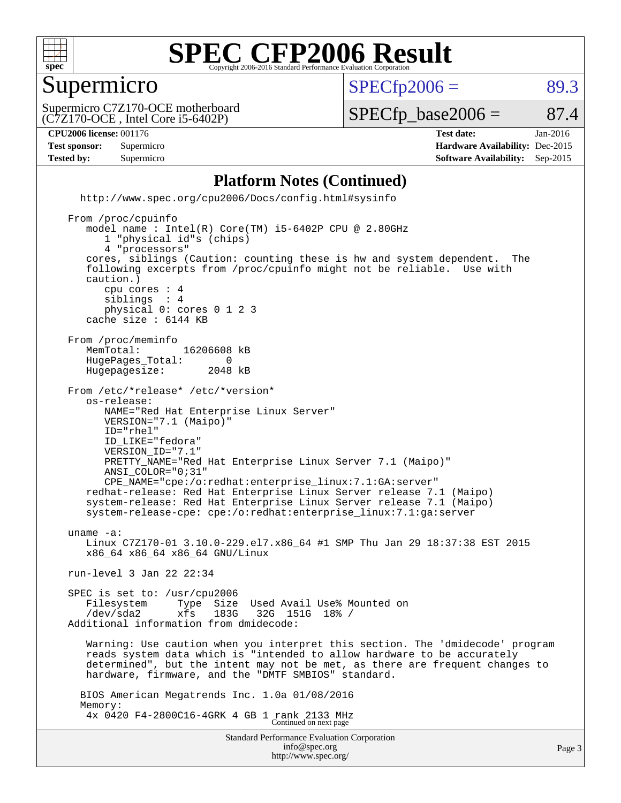

#### Supermicro

 $SPECTp2006 = 89.3$ 

(C7Z170-OCE , Intel Core i5-6402P) Supermicro C7Z170-OCE motherboard

 $SPECTp\_base2006 = 87.4$ 

#### **[CPU2006 license:](http://www.spec.org/auto/cpu2006/Docs/result-fields.html#CPU2006license)** 001176 **[Test date:](http://www.spec.org/auto/cpu2006/Docs/result-fields.html#Testdate)** Jan-2016

**[Test sponsor:](http://www.spec.org/auto/cpu2006/Docs/result-fields.html#Testsponsor)** Supermicro **[Hardware Availability:](http://www.spec.org/auto/cpu2006/Docs/result-fields.html#HardwareAvailability)** Dec-2015 **[Tested by:](http://www.spec.org/auto/cpu2006/Docs/result-fields.html#Testedby)** Supermicro **Supermicro [Software Availability:](http://www.spec.org/auto/cpu2006/Docs/result-fields.html#SoftwareAvailability)** Sep-2015

#### **[Platform Notes \(Continued\)](http://www.spec.org/auto/cpu2006/Docs/result-fields.html#PlatformNotes)**

Standard Performance Evaluation Corporation [info@spec.org](mailto:info@spec.org) <http://www.spec.org/> <http://www.spec.org/cpu2006/Docs/config.html#sysinfo> From /proc/cpuinfo model name : Intel(R) Core(TM) i5-6402P CPU @ 2.80GHz 1 "physical id"s (chips) 4 "processors" cores, siblings (Caution: counting these is hw and system dependent. The following excerpts from /proc/cpuinfo might not be reliable. Use with caution.) cpu cores : 4 siblings physical 0: cores 0 1 2 3 cache size : 6144 KB From /proc/meminfo MemTotal: 16206608 kB<br>HugePages Total: 0 HugePages\_Total: 0 Hugepagesize: 2048 kB From /etc/\*release\* /etc/\*version\* os-release: NAME="Red Hat Enterprise Linux Server" VERSION="7.1 (Maipo)" ID="rhel" ID\_LIKE="fedora" VERSION\_ID="7.1" PRETTY\_NAME="Red Hat Enterprise Linux Server 7.1 (Maipo)" ANSI\_COLOR="0;31" CPE\_NAME="cpe:/o:redhat:enterprise\_linux:7.1:GA:server" redhat-release: Red Hat Enterprise Linux Server release 7.1 (Maipo) system-release: Red Hat Enterprise Linux Server release 7.1 (Maipo) system-release-cpe: cpe:/o:redhat:enterprise\_linux:7.1:ga:server uname -a: Linux C7Z170-01 3.10.0-229.el7.x86\_64 #1 SMP Thu Jan 29 18:37:38 EST 2015 x86\_64 x86\_64 x86\_64 GNU/Linux run-level 3 Jan 22 22:34 SPEC is set to: /usr/cpu2006 Filesystem Type Size Used Avail Use% Mounted on<br>
/dev/sda2 xfs 183G 32G 151G 18% / /dev/sda2 xfs 183G 32G 151G 18% / Additional information from dmidecode: Warning: Use caution when you interpret this section. The 'dmidecode' program reads system data which is "intended to allow hardware to be accurately determined", but the intent may not be met, as there are frequent changes to hardware, firmware, and the "DMTF SMBIOS" standard. BIOS American Megatrends Inc. 1.0a 01/08/2016 Memory: 4x 0420 F4-2800C16-4GRK 4 GB 1 rank 2133 MHz Continued on next page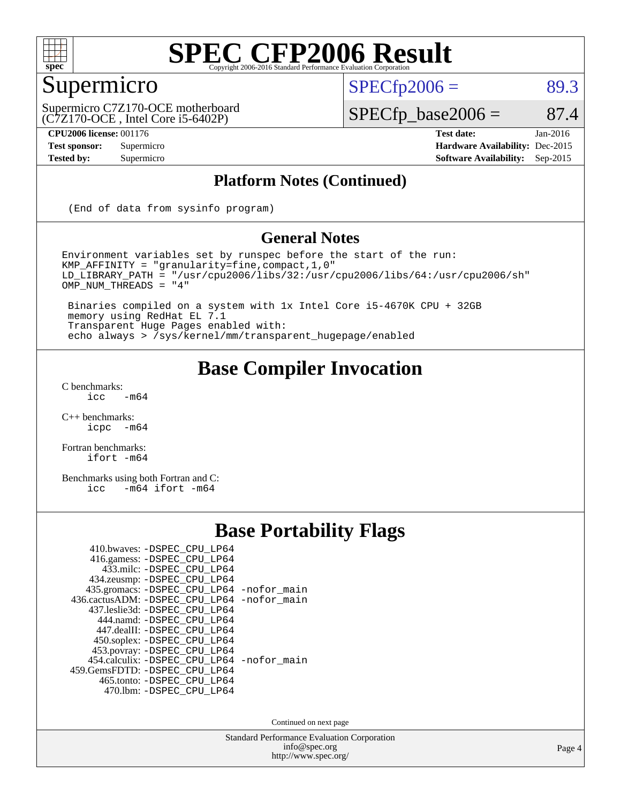

#### Supermicro

 $SPECTp2006 = 89.3$ 

(C7Z170-OCE , Intel Core i5-6402P) Supermicro C7Z170-OCE motherboard

**[CPU2006 license:](http://www.spec.org/auto/cpu2006/Docs/result-fields.html#CPU2006license)** 001176 **[Test date:](http://www.spec.org/auto/cpu2006/Docs/result-fields.html#Testdate)** Jan-2016

 $SPECfp\_base2006 = 87.4$ 

**[Test sponsor:](http://www.spec.org/auto/cpu2006/Docs/result-fields.html#Testsponsor)** Supermicro **[Hardware Availability:](http://www.spec.org/auto/cpu2006/Docs/result-fields.html#HardwareAvailability)** Dec-2015 **[Tested by:](http://www.spec.org/auto/cpu2006/Docs/result-fields.html#Testedby)** Supermicro **Supermicro [Software Availability:](http://www.spec.org/auto/cpu2006/Docs/result-fields.html#SoftwareAvailability)** Sep-2015

#### **[Platform Notes \(Continued\)](http://www.spec.org/auto/cpu2006/Docs/result-fields.html#PlatformNotes)**

(End of data from sysinfo program)

#### **[General Notes](http://www.spec.org/auto/cpu2006/Docs/result-fields.html#GeneralNotes)**

Environment variables set by runspec before the start of the run: KMP\_AFFINITY = "granularity=fine,compact,1,0" LD\_LIBRARY\_PATH = "/usr/cpu2006/libs/32:/usr/cpu2006/libs/64:/usr/cpu2006/sh" OMP\_NUM\_THREADS = "4"

 Binaries compiled on a system with 1x Intel Core i5-4670K CPU + 32GB memory using RedHat EL 7.1 Transparent Huge Pages enabled with: echo always > /sys/kernel/mm/transparent\_hugepage/enabled

#### **[Base Compiler Invocation](http://www.spec.org/auto/cpu2006/Docs/result-fields.html#BaseCompilerInvocation)**

 $C$  benchmarks:<br>icc  $-m64$ 

[C++ benchmarks:](http://www.spec.org/auto/cpu2006/Docs/result-fields.html#CXXbenchmarks) [icpc -m64](http://www.spec.org/cpu2006/results/res2016q1/cpu2006-20160125-38761.flags.html#user_CXXbase_intel_icpc_64bit_bedb90c1146cab66620883ef4f41a67e)

[Fortran benchmarks](http://www.spec.org/auto/cpu2006/Docs/result-fields.html#Fortranbenchmarks): [ifort -m64](http://www.spec.org/cpu2006/results/res2016q1/cpu2006-20160125-38761.flags.html#user_FCbase_intel_ifort_64bit_ee9d0fb25645d0210d97eb0527dcc06e)

[Benchmarks using both Fortran and C](http://www.spec.org/auto/cpu2006/Docs/result-fields.html#BenchmarksusingbothFortranandC): [icc -m64](http://www.spec.org/cpu2006/results/res2016q1/cpu2006-20160125-38761.flags.html#user_CC_FCbase_intel_icc_64bit_0b7121f5ab7cfabee23d88897260401c) [ifort -m64](http://www.spec.org/cpu2006/results/res2016q1/cpu2006-20160125-38761.flags.html#user_CC_FCbase_intel_ifort_64bit_ee9d0fb25645d0210d97eb0527dcc06e)

#### **[Base Portability Flags](http://www.spec.org/auto/cpu2006/Docs/result-fields.html#BasePortabilityFlags)**

| 410.bwaves: -DSPEC CPU LP64                 |  |
|---------------------------------------------|--|
| 416.gamess: -DSPEC_CPU_LP64                 |  |
| 433.milc: -DSPEC CPU LP64                   |  |
| 434.zeusmp: -DSPEC_CPU_LP64                 |  |
| 435.gromacs: -DSPEC_CPU_LP64 -nofor_main    |  |
| 436.cactusADM: -DSPEC_CPU_LP64 -nofor_main  |  |
| 437.leslie3d: -DSPEC_CPU LP64               |  |
| 444.namd: -DSPEC CPU LP64                   |  |
| 447.dealII: -DSPEC CPU LP64                 |  |
| 450.soplex: -DSPEC_CPU_LP64                 |  |
| 453.povray: -DSPEC_CPU_LP64                 |  |
| 454.calculix: - DSPEC CPU LP64 - nofor main |  |
| 459.GemsFDTD: - DSPEC CPU LP64              |  |
| 465.tonto: - DSPEC_CPU_LP64                 |  |
| 470.1bm: - DSPEC CPU LP64                   |  |

Continued on next page

Standard Performance Evaluation Corporation [info@spec.org](mailto:info@spec.org) <http://www.spec.org/>

Page 4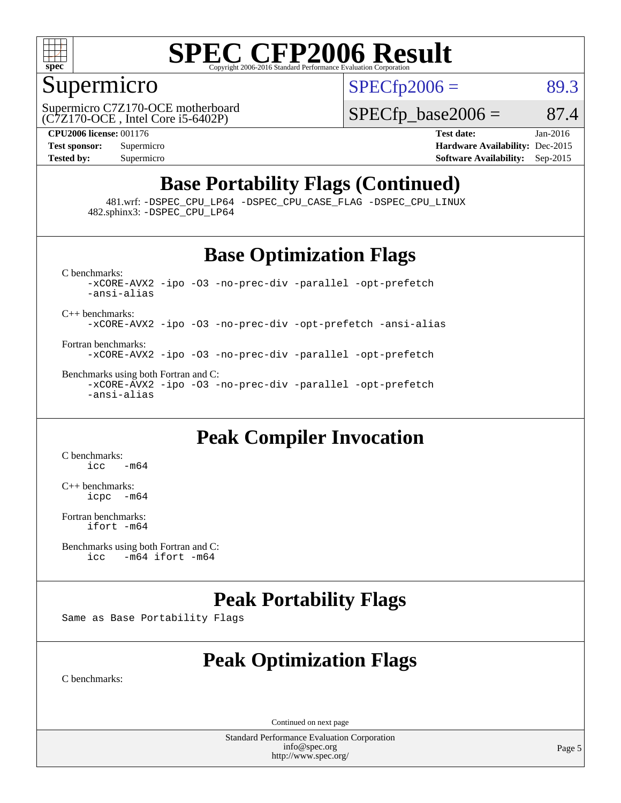

#### Supermicro

 $SPECTp2006 = 89.3$ 

(C7Z170-OCE , Intel Core i5-6402P) Supermicro C7Z170-OCE motherboard  $SPECTp\_base2006 = 87.4$ 

**[CPU2006 license:](http://www.spec.org/auto/cpu2006/Docs/result-fields.html#CPU2006license)** 001176 **[Test date:](http://www.spec.org/auto/cpu2006/Docs/result-fields.html#Testdate)** Jan-2016 **[Test sponsor:](http://www.spec.org/auto/cpu2006/Docs/result-fields.html#Testsponsor)** Supermicro **[Hardware Availability:](http://www.spec.org/auto/cpu2006/Docs/result-fields.html#HardwareAvailability)** Dec-2015 **[Tested by:](http://www.spec.org/auto/cpu2006/Docs/result-fields.html#Testedby)** Supermicro **[Software Availability:](http://www.spec.org/auto/cpu2006/Docs/result-fields.html#SoftwareAvailability)** Sep-2015

#### **[Base Portability Flags \(Continued\)](http://www.spec.org/auto/cpu2006/Docs/result-fields.html#BasePortabilityFlags)**

 481.wrf: [-DSPEC\\_CPU\\_LP64](http://www.spec.org/cpu2006/results/res2016q1/cpu2006-20160125-38761.flags.html#suite_basePORTABILITY481_wrf_DSPEC_CPU_LP64) [-DSPEC\\_CPU\\_CASE\\_FLAG](http://www.spec.org/cpu2006/results/res2016q1/cpu2006-20160125-38761.flags.html#b481.wrf_baseCPORTABILITY_DSPEC_CPU_CASE_FLAG) [-DSPEC\\_CPU\\_LINUX](http://www.spec.org/cpu2006/results/res2016q1/cpu2006-20160125-38761.flags.html#b481.wrf_baseCPORTABILITY_DSPEC_CPU_LINUX) 482.sphinx3: [-DSPEC\\_CPU\\_LP64](http://www.spec.org/cpu2006/results/res2016q1/cpu2006-20160125-38761.flags.html#suite_basePORTABILITY482_sphinx3_DSPEC_CPU_LP64)

#### **[Base Optimization Flags](http://www.spec.org/auto/cpu2006/Docs/result-fields.html#BaseOptimizationFlags)**

[C benchmarks](http://www.spec.org/auto/cpu2006/Docs/result-fields.html#Cbenchmarks): [-xCORE-AVX2](http://www.spec.org/cpu2006/results/res2016q1/cpu2006-20160125-38761.flags.html#user_CCbase_f-xAVX2_5f5fc0cbe2c9f62c816d3e45806c70d7) [-ipo](http://www.spec.org/cpu2006/results/res2016q1/cpu2006-20160125-38761.flags.html#user_CCbase_f-ipo) [-O3](http://www.spec.org/cpu2006/results/res2016q1/cpu2006-20160125-38761.flags.html#user_CCbase_f-O3) [-no-prec-div](http://www.spec.org/cpu2006/results/res2016q1/cpu2006-20160125-38761.flags.html#user_CCbase_f-no-prec-div) [-parallel](http://www.spec.org/cpu2006/results/res2016q1/cpu2006-20160125-38761.flags.html#user_CCbase_f-parallel) [-opt-prefetch](http://www.spec.org/cpu2006/results/res2016q1/cpu2006-20160125-38761.flags.html#user_CCbase_f-opt-prefetch) [-ansi-alias](http://www.spec.org/cpu2006/results/res2016q1/cpu2006-20160125-38761.flags.html#user_CCbase_f-ansi-alias) [C++ benchmarks:](http://www.spec.org/auto/cpu2006/Docs/result-fields.html#CXXbenchmarks) [-xCORE-AVX2](http://www.spec.org/cpu2006/results/res2016q1/cpu2006-20160125-38761.flags.html#user_CXXbase_f-xAVX2_5f5fc0cbe2c9f62c816d3e45806c70d7) [-ipo](http://www.spec.org/cpu2006/results/res2016q1/cpu2006-20160125-38761.flags.html#user_CXXbase_f-ipo) [-O3](http://www.spec.org/cpu2006/results/res2016q1/cpu2006-20160125-38761.flags.html#user_CXXbase_f-O3) [-no-prec-div](http://www.spec.org/cpu2006/results/res2016q1/cpu2006-20160125-38761.flags.html#user_CXXbase_f-no-prec-div) [-opt-prefetch](http://www.spec.org/cpu2006/results/res2016q1/cpu2006-20160125-38761.flags.html#user_CXXbase_f-opt-prefetch) [-ansi-alias](http://www.spec.org/cpu2006/results/res2016q1/cpu2006-20160125-38761.flags.html#user_CXXbase_f-ansi-alias)

[Fortran benchmarks](http://www.spec.org/auto/cpu2006/Docs/result-fields.html#Fortranbenchmarks): [-xCORE-AVX2](http://www.spec.org/cpu2006/results/res2016q1/cpu2006-20160125-38761.flags.html#user_FCbase_f-xAVX2_5f5fc0cbe2c9f62c816d3e45806c70d7) [-ipo](http://www.spec.org/cpu2006/results/res2016q1/cpu2006-20160125-38761.flags.html#user_FCbase_f-ipo) [-O3](http://www.spec.org/cpu2006/results/res2016q1/cpu2006-20160125-38761.flags.html#user_FCbase_f-O3) [-no-prec-div](http://www.spec.org/cpu2006/results/res2016q1/cpu2006-20160125-38761.flags.html#user_FCbase_f-no-prec-div) [-parallel](http://www.spec.org/cpu2006/results/res2016q1/cpu2006-20160125-38761.flags.html#user_FCbase_f-parallel) [-opt-prefetch](http://www.spec.org/cpu2006/results/res2016q1/cpu2006-20160125-38761.flags.html#user_FCbase_f-opt-prefetch)

[Benchmarks using both Fortran and C](http://www.spec.org/auto/cpu2006/Docs/result-fields.html#BenchmarksusingbothFortranandC): [-xCORE-AVX2](http://www.spec.org/cpu2006/results/res2016q1/cpu2006-20160125-38761.flags.html#user_CC_FCbase_f-xAVX2_5f5fc0cbe2c9f62c816d3e45806c70d7) [-ipo](http://www.spec.org/cpu2006/results/res2016q1/cpu2006-20160125-38761.flags.html#user_CC_FCbase_f-ipo) [-O3](http://www.spec.org/cpu2006/results/res2016q1/cpu2006-20160125-38761.flags.html#user_CC_FCbase_f-O3) [-no-prec-div](http://www.spec.org/cpu2006/results/res2016q1/cpu2006-20160125-38761.flags.html#user_CC_FCbase_f-no-prec-div) [-parallel](http://www.spec.org/cpu2006/results/res2016q1/cpu2006-20160125-38761.flags.html#user_CC_FCbase_f-parallel) [-opt-prefetch](http://www.spec.org/cpu2006/results/res2016q1/cpu2006-20160125-38761.flags.html#user_CC_FCbase_f-opt-prefetch) [-ansi-alias](http://www.spec.org/cpu2006/results/res2016q1/cpu2006-20160125-38761.flags.html#user_CC_FCbase_f-ansi-alias)

#### **[Peak Compiler Invocation](http://www.spec.org/auto/cpu2006/Docs/result-fields.html#PeakCompilerInvocation)**

[C benchmarks](http://www.spec.org/auto/cpu2006/Docs/result-fields.html#Cbenchmarks):  $\text{icc}$   $-\text{m64}$ 

[C++ benchmarks:](http://www.spec.org/auto/cpu2006/Docs/result-fields.html#CXXbenchmarks) [icpc -m64](http://www.spec.org/cpu2006/results/res2016q1/cpu2006-20160125-38761.flags.html#user_CXXpeak_intel_icpc_64bit_bedb90c1146cab66620883ef4f41a67e)

[Fortran benchmarks](http://www.spec.org/auto/cpu2006/Docs/result-fields.html#Fortranbenchmarks): [ifort -m64](http://www.spec.org/cpu2006/results/res2016q1/cpu2006-20160125-38761.flags.html#user_FCpeak_intel_ifort_64bit_ee9d0fb25645d0210d97eb0527dcc06e)

[Benchmarks using both Fortran and C](http://www.spec.org/auto/cpu2006/Docs/result-fields.html#BenchmarksusingbothFortranandC):<br>icc -m64 if ort -m64  $-m64$  ifort  $-m64$ 

#### **[Peak Portability Flags](http://www.spec.org/auto/cpu2006/Docs/result-fields.html#PeakPortabilityFlags)**

Same as Base Portability Flags

#### **[Peak Optimization Flags](http://www.spec.org/auto/cpu2006/Docs/result-fields.html#PeakOptimizationFlags)**

[C benchmarks](http://www.spec.org/auto/cpu2006/Docs/result-fields.html#Cbenchmarks):

Continued on next page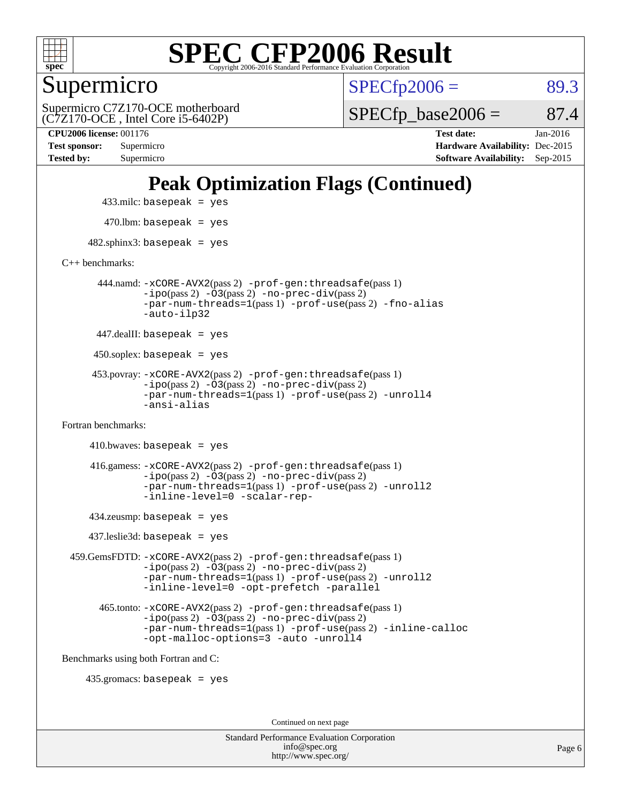

Supermicro

 $SPECTp2006 = 89.3$ 

(C7Z170-OCE , Intel Core i5-6402P) Supermicro C7Z170-OCE motherboard  $SPECTp\_base2006 = 87.4$ 

**[Tested by:](http://www.spec.org/auto/cpu2006/Docs/result-fields.html#Testedby)** Supermicro **[Software Availability:](http://www.spec.org/auto/cpu2006/Docs/result-fields.html#SoftwareAvailability)** Sep-2015

**[CPU2006 license:](http://www.spec.org/auto/cpu2006/Docs/result-fields.html#CPU2006license)** 001176 **[Test date:](http://www.spec.org/auto/cpu2006/Docs/result-fields.html#Testdate)** Jan-2016 **[Test sponsor:](http://www.spec.org/auto/cpu2006/Docs/result-fields.html#Testsponsor)** Supermicro **[Hardware Availability:](http://www.spec.org/auto/cpu2006/Docs/result-fields.html#HardwareAvailability)** Dec-2015

### **[Peak Optimization Flags \(Continued\)](http://www.spec.org/auto/cpu2006/Docs/result-fields.html#PeakOptimizationFlags)**

433.milc: basepeak = yes

 $470.$ lbm: basepeak = yes

 $482$ .sphinx3: basepeak = yes

[C++ benchmarks:](http://www.spec.org/auto/cpu2006/Docs/result-fields.html#CXXbenchmarks)

 444.namd: [-xCORE-AVX2](http://www.spec.org/cpu2006/results/res2016q1/cpu2006-20160125-38761.flags.html#user_peakPASS2_CXXFLAGSPASS2_LDFLAGS444_namd_f-xAVX2_5f5fc0cbe2c9f62c816d3e45806c70d7)(pass 2) [-prof-gen:threadsafe](http://www.spec.org/cpu2006/results/res2016q1/cpu2006-20160125-38761.flags.html#user_peakPASS1_CXXFLAGSPASS1_LDFLAGS444_namd_prof_gen_21a26eb79f378b550acd7bec9fe4467a)(pass 1) [-ipo](http://www.spec.org/cpu2006/results/res2016q1/cpu2006-20160125-38761.flags.html#user_peakPASS2_CXXFLAGSPASS2_LDFLAGS444_namd_f-ipo)(pass 2) [-O3](http://www.spec.org/cpu2006/results/res2016q1/cpu2006-20160125-38761.flags.html#user_peakPASS2_CXXFLAGSPASS2_LDFLAGS444_namd_f-O3)(pass 2) [-no-prec-div](http://www.spec.org/cpu2006/results/res2016q1/cpu2006-20160125-38761.flags.html#user_peakPASS2_CXXFLAGSPASS2_LDFLAGS444_namd_f-no-prec-div)(pass 2) [-par-num-threads=1](http://www.spec.org/cpu2006/results/res2016q1/cpu2006-20160125-38761.flags.html#user_peakPASS1_CXXFLAGSPASS1_LDFLAGS444_namd_par_num_threads_786a6ff141b4e9e90432e998842df6c2)(pass 1) [-prof-use](http://www.spec.org/cpu2006/results/res2016q1/cpu2006-20160125-38761.flags.html#user_peakPASS2_CXXFLAGSPASS2_LDFLAGS444_namd_prof_use_bccf7792157ff70d64e32fe3e1250b55)(pass 2) [-fno-alias](http://www.spec.org/cpu2006/results/res2016q1/cpu2006-20160125-38761.flags.html#user_peakCXXOPTIMIZEOPTIMIZE444_namd_f-no-alias_694e77f6c5a51e658e82ccff53a9e63a) [-auto-ilp32](http://www.spec.org/cpu2006/results/res2016q1/cpu2006-20160125-38761.flags.html#user_peakCXXOPTIMIZE444_namd_f-auto-ilp32)

447.dealII: basepeak = yes

 $450$ .soplex: basepeak = yes

 453.povray: [-xCORE-AVX2](http://www.spec.org/cpu2006/results/res2016q1/cpu2006-20160125-38761.flags.html#user_peakPASS2_CXXFLAGSPASS2_LDFLAGS453_povray_f-xAVX2_5f5fc0cbe2c9f62c816d3e45806c70d7)(pass 2) [-prof-gen:threadsafe](http://www.spec.org/cpu2006/results/res2016q1/cpu2006-20160125-38761.flags.html#user_peakPASS1_CXXFLAGSPASS1_LDFLAGS453_povray_prof_gen_21a26eb79f378b550acd7bec9fe4467a)(pass 1)  $-ipo(pass 2) -\overline{O3(pass 2)}$  $-ipo(pass 2) -\overline{O3(pass 2)}$  [-no-prec-div](http://www.spec.org/cpu2006/results/res2016q1/cpu2006-20160125-38761.flags.html#user_peakPASS2_CXXFLAGSPASS2_LDFLAGS453_povray_f-no-prec-div)(pass 2) [-par-num-threads=1](http://www.spec.org/cpu2006/results/res2016q1/cpu2006-20160125-38761.flags.html#user_peakPASS1_CXXFLAGSPASS1_LDFLAGS453_povray_par_num_threads_786a6ff141b4e9e90432e998842df6c2)(pass 1) [-prof-use](http://www.spec.org/cpu2006/results/res2016q1/cpu2006-20160125-38761.flags.html#user_peakPASS2_CXXFLAGSPASS2_LDFLAGS453_povray_prof_use_bccf7792157ff70d64e32fe3e1250b55)(pass 2) [-unroll4](http://www.spec.org/cpu2006/results/res2016q1/cpu2006-20160125-38761.flags.html#user_peakCXXOPTIMIZE453_povray_f-unroll_4e5e4ed65b7fd20bdcd365bec371b81f) [-ansi-alias](http://www.spec.org/cpu2006/results/res2016q1/cpu2006-20160125-38761.flags.html#user_peakCXXOPTIMIZE453_povray_f-ansi-alias)

[Fortran benchmarks](http://www.spec.org/auto/cpu2006/Docs/result-fields.html#Fortranbenchmarks):

```
410.bwaves: basepeak = yes 416.gamess: -xCORE-AVX2(pass 2) -prof-gen:threadsafe(pass 1)
          -i\text{po}(pass 2) -\tilde{O}3(pass 2)-no-prec-div(pass 2)
          -par-num-threads=1(pass 1) -prof-use(pass 2) -unroll2
          -inline-level=0 -scalar-rep-
```
434.zeusmp: basepeak = yes

437.leslie3d: basepeak = yes

 459.GemsFDTD: [-xCORE-AVX2](http://www.spec.org/cpu2006/results/res2016q1/cpu2006-20160125-38761.flags.html#user_peakPASS2_FFLAGSPASS2_LDFLAGS459_GemsFDTD_f-xAVX2_5f5fc0cbe2c9f62c816d3e45806c70d7)(pass 2) [-prof-gen:threadsafe](http://www.spec.org/cpu2006/results/res2016q1/cpu2006-20160125-38761.flags.html#user_peakPASS1_FFLAGSPASS1_LDFLAGS459_GemsFDTD_prof_gen_21a26eb79f378b550acd7bec9fe4467a)(pass 1) [-ipo](http://www.spec.org/cpu2006/results/res2016q1/cpu2006-20160125-38761.flags.html#user_peakPASS2_FFLAGSPASS2_LDFLAGS459_GemsFDTD_f-ipo)(pass 2) [-O3](http://www.spec.org/cpu2006/results/res2016q1/cpu2006-20160125-38761.flags.html#user_peakPASS2_FFLAGSPASS2_LDFLAGS459_GemsFDTD_f-O3)(pass 2) [-no-prec-div](http://www.spec.org/cpu2006/results/res2016q1/cpu2006-20160125-38761.flags.html#user_peakPASS2_FFLAGSPASS2_LDFLAGS459_GemsFDTD_f-no-prec-div)(pass 2) [-par-num-threads=1](http://www.spec.org/cpu2006/results/res2016q1/cpu2006-20160125-38761.flags.html#user_peakPASS1_FFLAGSPASS1_LDFLAGS459_GemsFDTD_par_num_threads_786a6ff141b4e9e90432e998842df6c2)(pass 1) [-prof-use](http://www.spec.org/cpu2006/results/res2016q1/cpu2006-20160125-38761.flags.html#user_peakPASS2_FFLAGSPASS2_LDFLAGS459_GemsFDTD_prof_use_bccf7792157ff70d64e32fe3e1250b55)(pass 2) [-unroll2](http://www.spec.org/cpu2006/results/res2016q1/cpu2006-20160125-38761.flags.html#user_peakOPTIMIZE459_GemsFDTD_f-unroll_784dae83bebfb236979b41d2422d7ec2) [-inline-level=0](http://www.spec.org/cpu2006/results/res2016q1/cpu2006-20160125-38761.flags.html#user_peakOPTIMIZE459_GemsFDTD_f-inline-level_318d07a09274ad25e8d15dbfaa68ba50) [-opt-prefetch](http://www.spec.org/cpu2006/results/res2016q1/cpu2006-20160125-38761.flags.html#user_peakOPTIMIZE459_GemsFDTD_f-opt-prefetch) [-parallel](http://www.spec.org/cpu2006/results/res2016q1/cpu2006-20160125-38761.flags.html#user_peakOPTIMIZE459_GemsFDTD_f-parallel)

 465.tonto: [-xCORE-AVX2](http://www.spec.org/cpu2006/results/res2016q1/cpu2006-20160125-38761.flags.html#user_peakPASS2_FFLAGSPASS2_LDFLAGS465_tonto_f-xAVX2_5f5fc0cbe2c9f62c816d3e45806c70d7)(pass 2) [-prof-gen:threadsafe](http://www.spec.org/cpu2006/results/res2016q1/cpu2006-20160125-38761.flags.html#user_peakPASS1_FFLAGSPASS1_LDFLAGS465_tonto_prof_gen_21a26eb79f378b550acd7bec9fe4467a)(pass 1)  $-i\text{po}(pass 2) -\overline{0}3(pass 2) -no-prec-div(pass 2)$  $-i\text{po}(pass 2) -\overline{0}3(pass 2) -no-prec-div(pass 2)$  $-i\text{po}(pass 2) -\overline{0}3(pass 2) -no-prec-div(pass 2)$ [-par-num-threads=1](http://www.spec.org/cpu2006/results/res2016q1/cpu2006-20160125-38761.flags.html#user_peakPASS1_FFLAGSPASS1_LDFLAGS465_tonto_par_num_threads_786a6ff141b4e9e90432e998842df6c2)(pass 1) [-prof-use](http://www.spec.org/cpu2006/results/res2016q1/cpu2006-20160125-38761.flags.html#user_peakPASS2_FFLAGSPASS2_LDFLAGS465_tonto_prof_use_bccf7792157ff70d64e32fe3e1250b55)(pass 2) [-inline-calloc](http://www.spec.org/cpu2006/results/res2016q1/cpu2006-20160125-38761.flags.html#user_peakOPTIMIZE465_tonto_f-inline-calloc) [-opt-malloc-options=3](http://www.spec.org/cpu2006/results/res2016q1/cpu2006-20160125-38761.flags.html#user_peakOPTIMIZE465_tonto_f-opt-malloc-options_13ab9b803cf986b4ee62f0a5998c2238) [-auto](http://www.spec.org/cpu2006/results/res2016q1/cpu2006-20160125-38761.flags.html#user_peakOPTIMIZE465_tonto_f-auto) [-unroll4](http://www.spec.org/cpu2006/results/res2016q1/cpu2006-20160125-38761.flags.html#user_peakOPTIMIZE465_tonto_f-unroll_4e5e4ed65b7fd20bdcd365bec371b81f)

[Benchmarks using both Fortran and C](http://www.spec.org/auto/cpu2006/Docs/result-fields.html#BenchmarksusingbothFortranandC):

435.gromacs: basepeak = yes

Continued on next page